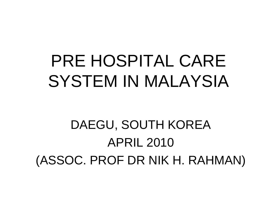# PRE HOSPITAL CARE SYSTEM IN MALAYSIA

## DAEGU, SOUTH KOREA APRIL 2010 (ASSOC. PROF DR NIK H. RAHMAN)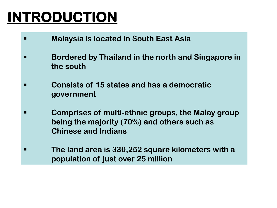- **Malaysia is located in South East Asia**
- **Bordered by Thailand in the north and Singapore in the south**
- **Consists of 15 states and has a democratic government**
- **Comprises of multi-ethnic groups, the Malay group being the majority (70%) and others such as Chinese and Indians**
- **The land area is 330,252 square kilometers with a population of just over 25 million**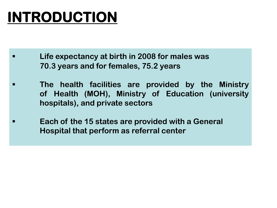- **Life expectancy at birth in 2008 for males was 70.3 years and for females, 75.2 years**
- **The health facilities are provided by the Ministry of Health (MOH), Ministry of Education (university hospitals), and private sectors**
- **Each of the 15 states are provided with a General Hospital that perform as referral center**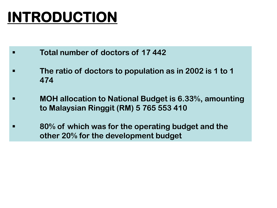- **Total number of doctors of 17 442**
- **The ratio of doctors to population as in 2002 is 1 to 1 474**
- **MOH allocation to National Budget is 6.33%, amounting to Malaysian Ringgit (RM) 5 765 553 410**
- **80% of which was for the operating budget and the other 20% for the development budget**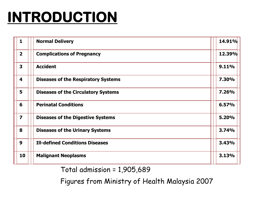| 1                | <b>Normal Delivery</b>                     | 14.91% |
|------------------|--------------------------------------------|--------|
| $\overline{2}$   | <b>Complications of Pregnancy</b>          | 12.39% |
| 3                | <b>Accident</b>                            | 9.11%  |
| 4                | <b>Diseases of the Respiratory Systems</b> | 7.30%  |
| 5                | <b>Diseases of the Circulatory Systems</b> | 7.26%  |
| 6                | <b>Perinatal Conditions</b>                | 6.57%  |
| $\overline{z}$   | <b>Diseases of the Digestive Systems</b>   | 5.20%  |
| 8                | <b>Diseases of the Urinary Systems</b>     | 3.74%  |
| $\boldsymbol{9}$ | <b>Ill-defined Conditions Diseases</b>     | 3.43%  |
| 10               | <b>Malignant Neoplasms</b>                 | 3.13%  |

Total admission = 1,905,689

Figures from Ministry of Health Malaysia 2007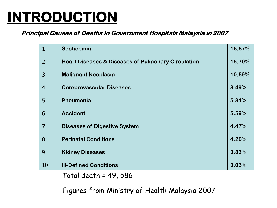#### **Principal Causes of Deaths In Government Hospitals Malaysia in 2007**

| $\mathbf{1}$   | Septicemia                                                    | 16.87% |
|----------------|---------------------------------------------------------------|--------|
| 2              | <b>Heart Diseases &amp; Diseases of Pulmonary Circulation</b> | 15.70% |
| 3              | <b>Malignant Neoplasm</b>                                     | 10.59% |
| $\overline{4}$ | <b>Cerebrovascular Diseases</b>                               | 8.49%  |
| 5              | Pneumonia                                                     | 5.81%  |
| 6              | <b>Accident</b>                                               | 5.59%  |
| $\overline{7}$ | <b>Diseases of Digestive System</b>                           | 4.47%  |
| 8              | <b>Perinatal Conditions</b>                                   | 4.20%  |
| 9              | <b>Kidney Diseases</b>                                        | 3.83%  |
| 10             | <b>III-Defined Conditions</b>                                 | 3.03%  |

Total death = 49, 586

Figures from Ministry of Health Malaysia 2007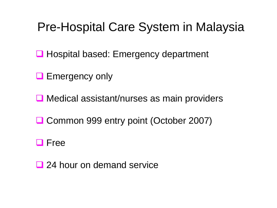### Pre-Hospital Care System in Malaysia

 $\Box$  Hospital based: Emergency department

**Emergency only** 

**□ Medical assistant/nurses as main providers** 

■ Common 999 entry point (October 2007)

**O** Free

24 hour on demand service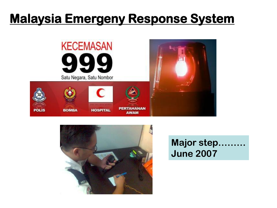### **Malaysia Emergeny Response System**





#### **Major step……… June 2007**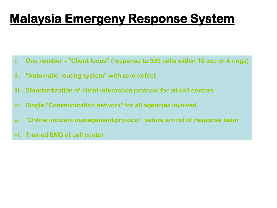### **Malaysia Emergeny Response System**

- **i. One number – "Client focus" (response to 999 calls within 10 sec or 4 rings)**
- **ii. "Automatic routing system" with zero defect**
- **iii. Standardization of client interaction protocol for all call centers**
- **iv. Single "Communication network" for all agencies involved**
- **v. "Online incident management protocol" before arrival of response team**
- **vi. Trained EMD at call center**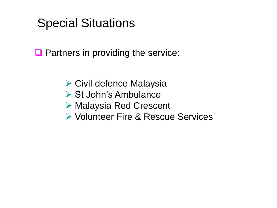### Special Situations

 $\Box$  Partners in providing the service:

- $\triangleright$  Civil defence Malaysia
- $\triangleright$  St John's Ambulance
- Malaysia Red Crescent
- Volunteer Fire & Rescue Services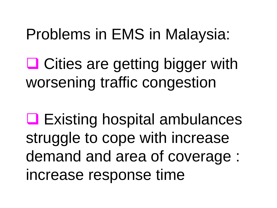## Problems in EMS in Malaysia:

**□ Cities are getting bigger with** worsening traffic congestion

**□ Existing hospital ambulances** struggle to cope with increase demand and area of coverage : increase response time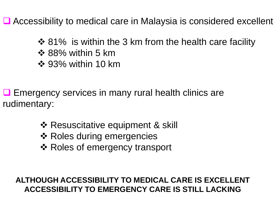■ Accessibility to medical care in Malaysia is considered excellent

- ❖ 81% is within the 3 km from the health care facility
- $\div$  88% within 5 km
- **❖ 93% within 10 km**

 $\Box$  Emergency services in many rural health clinics are rudimentary:

- **\*** Resuscitative equipment & skill
- ❖ Roles during emergencies
- ❖ Roles of emergency transport

**ALTHOUGH ACCESSIBILITY TO MEDICAL CARE IS EXCELLENT ACCESSIBILITY TO EMERGENCY CARE IS STILL LACKING**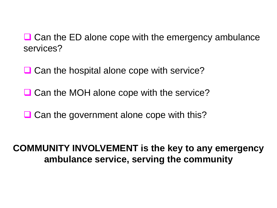$\Box$  Can the ED alone cope with the emergency ambulance services?

 $\Box$  Can the hospital alone cope with service?

**□ Can the MOH alone cope with the service?** 

 $\Box$  Can the government alone cope with this?

**COMMUNITY INVOLVEMENT is the key to any emergency ambulance service, serving the community**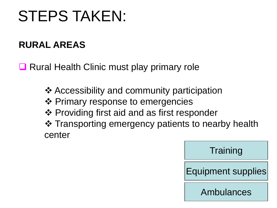## STEPS TAKEN:

### **RURAL AREAS**

**■ Rural Health Clinic must play primary role** 

- **❖ Accessibility and community participation**
- ❖ Primary response to emergencies
- ❖ Providing first aid and as first responder
- ❖ Transporting emergency patients to nearby health center

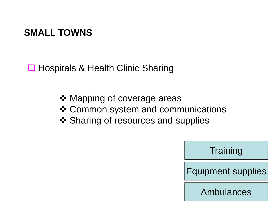#### **SMALL TOWNS**

**□ Hospitals & Health Clinic Sharing** 

- ❖ Mapping of coverage areas
- ❖ Common system and communications
- ❖ Sharing of resources and supplies

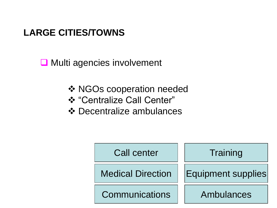#### **LARGE CITIES/TOWNS**

**■** Multi agencies involvement

- **❖ NGOs cooperation needed**
- "Centralize Call Center"
- **❖ Decentralize ambulances**

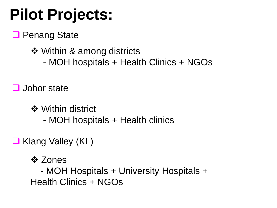## **Pilot Projects:**

#### **Q** Penang State

- ❖ Within & among districts
	- MOH hospitals + Health Clinics + NGOs
- $\Box$  Johor state
	- **❖ Within district** 
		- MOH hospitals + Health clinics
- **Klang Valley (KL)** 
	- **☆ Zones**

- MOH Hospitals + University Hospitals + Health Clinics + NGOs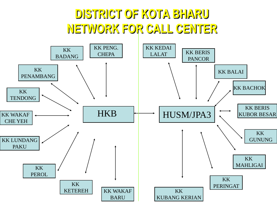### **DISTRICT OF KOTA BHARU NETWORK FOR CALL CENTER**

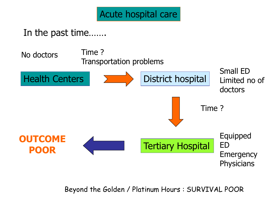Acute hospital care

In the past time…….



Beyond the Golden / Platinum Hours : SURVIVAL POOR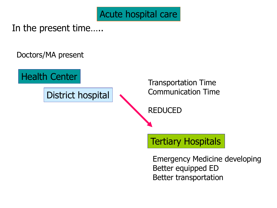

In the present time…..

Doctors/MA present



Emergency Medicine developing Better equipped ED Better transportation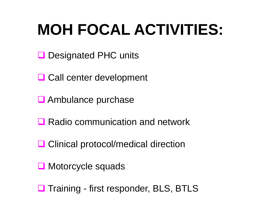## **MOH FOCAL ACTIVITIES:**

- **□** Designated PHC units
- **□ Call center development**
- **Q** Ambulance purchase
- **Q** Radio communication and network
- **□ Clinical protocol/medical direction**
- **O** Motorcycle squads
- Training first responder, BLS, BTLS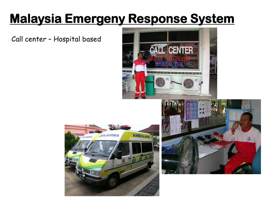### **Malaysia Emergeny Response System**

Call center – Hospital based





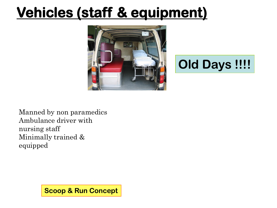## **Vehicles (staff & equipment)**



### **Old Days !!!!**

Manned by non paramedics Ambulance driver with nursing staff Minimally trained & equipped

**Scoop & Run Concept**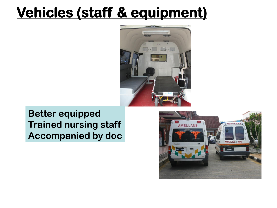### **Vehicles (staff & equipment)**



#### **Better equipped Trained nursing staff Accompanied by doc**

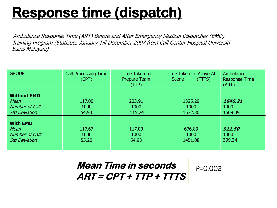### **Response time (dispatch)**

Ambulance Response Time (ART) Before and After Emergency Medical Dispatcher (EMD) Training Program (Statistics January Till December 2007 from Call Center Hospital Universiti Sains Malaysia)

| <b>GROUP</b>                                                                        | <b>Call Processing Time</b><br>(CPT) | Time Taken to<br><b>Prepare Team</b><br>(TTP) | Time Taken To Arrive At<br>(TTTS)<br>Scene | Ambulance<br><b>Response Time</b><br>(ART) |
|-------------------------------------------------------------------------------------|--------------------------------------|-----------------------------------------------|--------------------------------------------|--------------------------------------------|
| <b>Without EMD</b><br><b>Mean</b><br><b>Number of Calls</b><br><b>Std Deviation</b> | 117.00<br>1000<br>54.93              | 203.91<br>1000<br>115.24                      | 1325.29<br>1000<br>1572.30                 | 1646.21<br>1000<br>1609.39                 |
| <b>With EMD</b><br><b>Mean</b><br><b>Number of Calls</b><br><b>Std Deviation</b>    | 117.67<br>1000<br>55.20              | 117.00<br>1000<br>54.93                       | 676.83<br>1000<br>1451.08                  | 911.50<br>1000<br>399.34                   |

**Mean Time in seconds ART = CPT + TTP + TTTS** P=0.002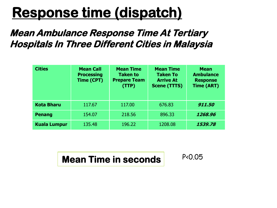### **Response time (dispatch)**

#### **Mean Ambulance Response Time At Tertiary Hospitals In Three Different Cities in Malaysia**

| <b>Cities</b>       | <b>Mean Call</b><br><b>Processing</b><br>Time (CPT) | <b>Mean Time</b><br><b>Taken to</b><br><b>Prepare Team</b><br>(TTP) | <b>Mean Time</b><br><b>Taken To</b><br><b>Arrive At</b><br><b>Scene (TTTS)</b> | <b>Mean</b><br><b>Ambulance</b><br><b>Response</b><br><b>Time (ART)</b> |
|---------------------|-----------------------------------------------------|---------------------------------------------------------------------|--------------------------------------------------------------------------------|-------------------------------------------------------------------------|
| <b>Kota Bharu</b>   | 117.67                                              | 117.00                                                              | 676.83                                                                         | 911.50                                                                  |
| <b>Penang</b>       | 154.07                                              | 218.56                                                              | 896.33                                                                         | 1268.96                                                                 |
| <b>Kuala Lumpur</b> | 135.48                                              | 196.22                                                              | 1208.08                                                                        | 1539.78                                                                 |

#### **Mean Time in seconds** P<0.05